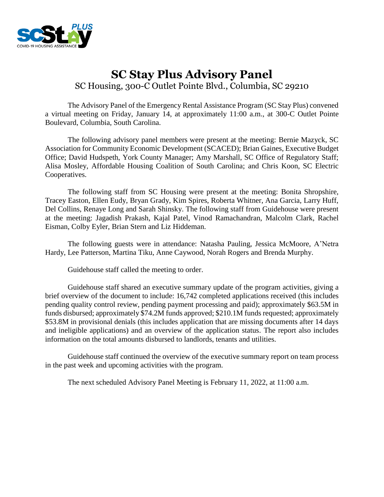

# **SC Stay Plus Advisory Panel** SC Housing, 300-C Outlet Pointe Blvd., Columbia, SC 29210

The Advisory Panel of the Emergency Rental Assistance Program (SC Stay Plus) convened a virtual meeting on Friday, January 14, at approximately 11:00 a.m., at 300-C Outlet Pointe Boulevard, Columbia, South Carolina.

The following advisory panel members were present at the meeting: Bernie Mazyck, SC Association for Community Economic Development (SCACED); Brian Gaines, Executive Budget Office; David Hudspeth, York County Manager; Amy Marshall, SC Office of Regulatory Staff; Alisa Mosley, Affordable Housing Coalition of South Carolina; and Chris Koon, SC Electric Cooperatives.

The following staff from SC Housing were present at the meeting: Bonita Shropshire, Tracey Easton, Ellen Eudy, Bryan Grady, Kim Spires, Roberta Whitner, Ana Garcia, Larry Huff, Del Collins, Renaye Long and Sarah Shinsky. The following staff from Guidehouse were present at the meeting: Jagadish Prakash, Kajal Patel, Vinod Ramachandran, Malcolm Clark, Rachel Eisman, Colby Eyler, Brian Stern and Liz Hiddeman.

The following guests were in attendance: Natasha Pauling, Jessica McMoore, A'Netra Hardy, Lee Patterson, Martina Tiku, Anne Caywood, Norah Rogers and Brenda Murphy.

Guidehouse staff called the meeting to order.

Guidehouse staff shared an executive summary update of the program activities, giving a brief overview of the document to include: 16,742 completed applications received (this includes pending quality control review, pending payment processing and paid); approximately \$63.5M in funds disbursed; approximately \$74.2M funds approved; \$210.1M funds requested; approximately \$53.8M in provisional denials (this includes application that are missing documents after 14 days and ineligible applications) and an overview of the application status. The report also includes information on the total amounts disbursed to landlords, tenants and utilities.

Guidehouse staff continued the overview of the executive summary report on team process in the past week and upcoming activities with the program.

The next scheduled Advisory Panel Meeting is February 11, 2022, at 11:00 a.m.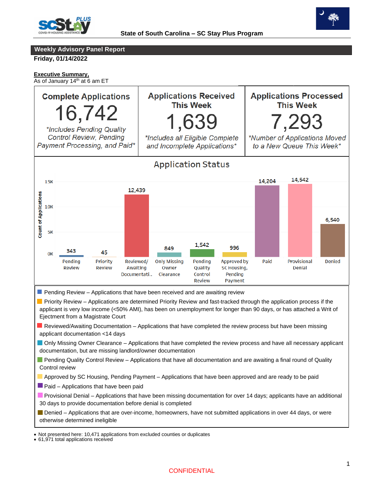



## **Weekly Advisory Panel Report**

**Friday, 01/14/2022**

#### **Executive Summary,**

As of January 14<sup>th</sup> at 6 am ET



<sup>•</sup> 61,971 total applications received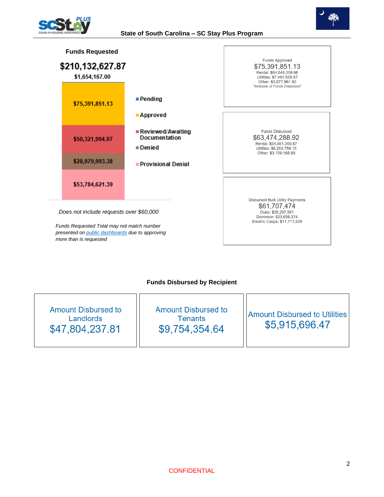

#### **State of South Carolina – SC Stay Plus Program**





## **Funds Disbursed by Recipient**

| Amount Disbursed to<br>Landlords<br>\$47,804,237.81 | <b>Amount Disbursed to</b><br><b>Tenants</b><br>\$9,754,354.64 | <b>Amount Disbursed to Utilities</b><br>\$5,915,696.47 |
|-----------------------------------------------------|----------------------------------------------------------------|--------------------------------------------------------|
|-----------------------------------------------------|----------------------------------------------------------------|--------------------------------------------------------|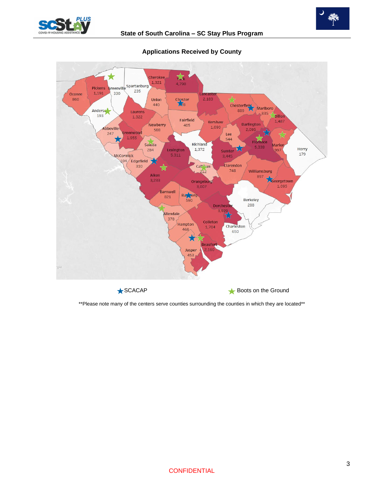





## **Applications Received by County**

\*\*Please note many of the centers serve counties surrounding the counties in which they are located\*\*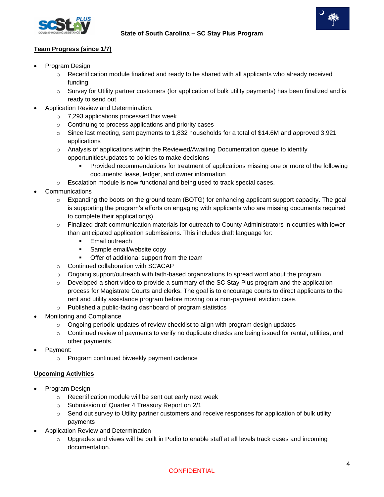



# **Team Progress (since 1/7)**

- Program Design
	- $\circ$  Recertification module finalized and ready to be shared with all applicants who already received funding
	- $\circ$  Survey for Utility partner customers (for application of bulk utility payments) has been finalized and is ready to send out
- Application Review and Determination:
	- o 7,293 applications processed this week
	- o Continuing to process applications and priority cases
	- $\circ$  Since last meeting, sent payments to 1,832 households for a total of \$14.6M and approved 3,921 applications
	- $\circ$  Analysis of applications within the Reviewed/Awaiting Documentation queue to identify opportunities/updates to policies to make decisions
		- Provided recommendations for treatment of applications missing one or more of the following documents: lease, ledger, and owner information
	- o Escalation module is now functional and being used to track special cases.
- Communications
	- o Expanding the boots on the ground team (BOTG) for enhancing applicant support capacity. The goal is supporting the program's efforts on engaging with applicants who are missing documents required to complete their application(s).
	- $\circ$  Finalized draft communication materials for outreach to County Administrators in counties with lower than anticipated application submissions. This includes draft language for:
		- **Email outreach**
		- Sample email/website copy
			- Offer of additional support from the team
	- o Continued collaboration with SCACAP
	- $\circ$  Ongoing support/outreach with faith-based organizations to spread word about the program
	- $\circ$  Developed a short video to provide a summary of the SC Stay Plus program and the application process for Magistrate Courts and clerks. The goal is to encourage courts to direct applicants to the rent and utility assistance program before moving on a non-payment eviction case.
	- o Published a public-facing dashboard of program statistics
- Monitoring and Compliance
	- $\circ$  Ongoing periodic updates of review checklist to align with program design updates
	- $\circ$  Continued review of payments to verify no duplicate checks are being issued for rental, utilities, and other payments.
- Payment:
	- o Program continued biweekly payment cadence

## **Upcoming Activities**

- Program Design
	- o Recertification module will be sent out early next week
	- o Submission of Quarter 4 Treasury Report on 2/1
	- $\circ$  Send out survey to Utility partner customers and receive responses for application of bulk utility payments
- Application Review and Determination
	- $\circ$  Upgrades and views will be built in Podio to enable staff at all levels track cases and incoming documentation.